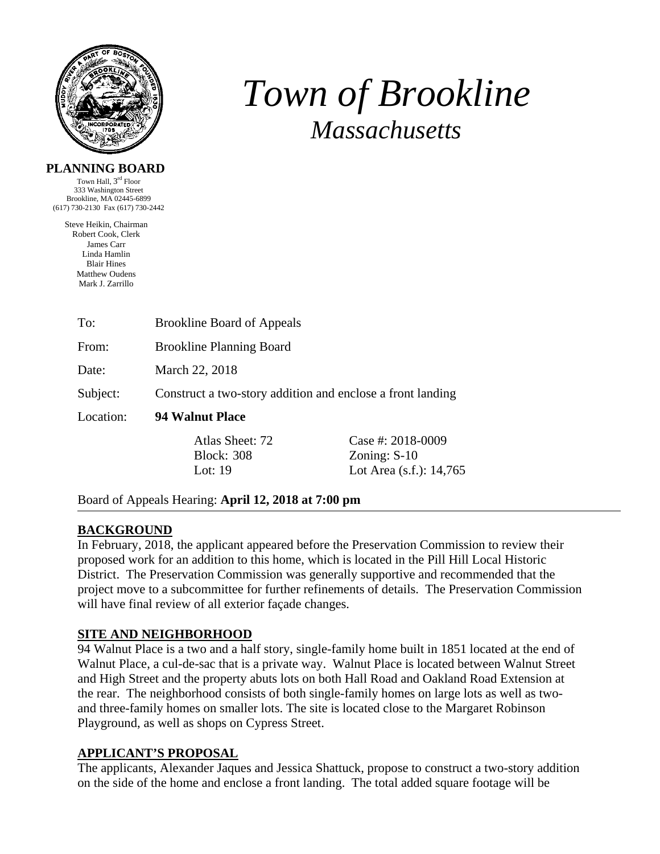

# *Town of Brookline Massachusetts*

#### **PLANNING BOARD**

Town Hall, 3rd Floor 333 Washington Street Brookline, MA 02445-6899 (617) 730-2130 Fax (617) 730-2442

Steve Heikin, Chairman Robert Cook, Clerk James Carr Linda Hamlin Blair Hines Matthew Oudens Mark J. Zarrillo

| To:       | <b>Brookline Board of Appeals</b>                          |                                     |  |  |
|-----------|------------------------------------------------------------|-------------------------------------|--|--|
| From:     | <b>Brookline Planning Board</b>                            |                                     |  |  |
| Date:     | March 22, 2018                                             |                                     |  |  |
| Subject:  | Construct a two-story addition and enclose a front landing |                                     |  |  |
| Location: | 94 Walnut Place                                            |                                     |  |  |
|           | Atlas Sheet: 72<br><b>Block: 308</b>                       | Case #: 2018-0009<br>Zoning: $S-10$ |  |  |
|           | Lot: $19$                                                  | Lot Area (s.f.): 14,765             |  |  |

Board of Appeals Hearing: **April 12, 2018 at 7:00 pm**

# **BACKGROUND**

In February, 2018, the applicant appeared before the Preservation Commission to review their proposed work for an addition to this home, which is located in the Pill Hill Local Historic District. The Preservation Commission was generally supportive and recommended that the project move to a subcommittee for further refinements of details. The Preservation Commission will have final review of all exterior façade changes.

#### **SITE AND NEIGHBORHOOD**

94 Walnut Place is a two and a half story, single-family home built in 1851 located at the end of Walnut Place, a cul-de-sac that is a private way. Walnut Place is located between Walnut Street and High Street and the property abuts lots on both Hall Road and Oakland Road Extension at the rear. The neighborhood consists of both single-family homes on large lots as well as twoand three-family homes on smaller lots. The site is located close to the Margaret Robinson Playground, as well as shops on Cypress Street.

#### **APPLICANT'S PROPOSAL**

The applicants, Alexander Jaques and Jessica Shattuck, propose to construct a two-story addition on the side of the home and enclose a front landing. The total added square footage will be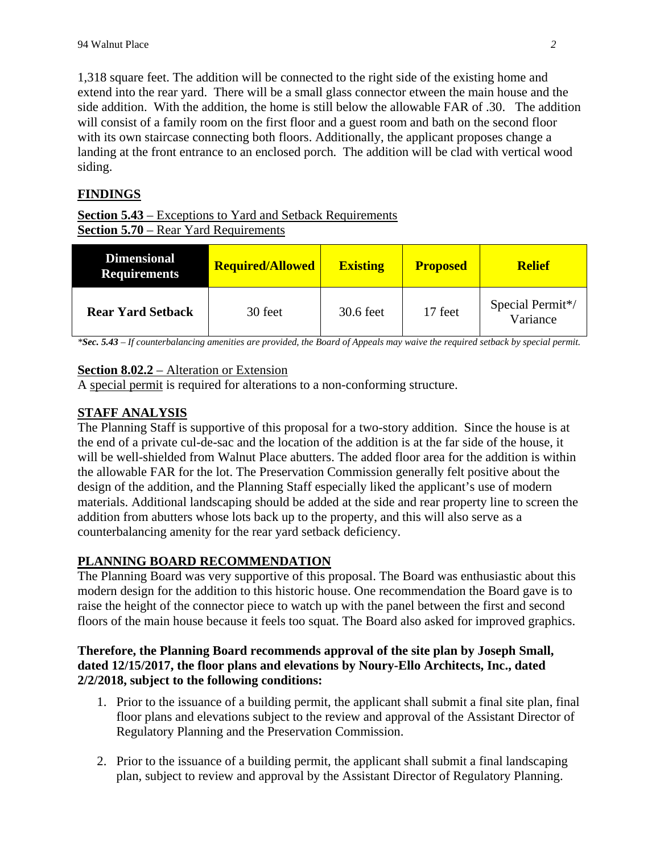1,318 square feet. The addition will be connected to the right side of the existing home and extend into the rear yard. There will be a small glass connector etween the main house and the side addition. With the addition, the home is still below the allowable FAR of .30. The addition will consist of a family room on the first floor and a guest room and bath on the second floor with its own staircase connecting both floors. Additionally, the applicant proposes change a landing at the front entrance to an enclosed porch. The addition will be clad with vertical wood siding.

# **FINDINGS**

**Section 5.43** – Exceptions to Yard and Setback Requirements **Section 5.70** – Rear Yard Requirements

| <b>Dimensional</b><br><b>Requirements</b> | <b>Required/Allowed</b> | <b>Existing</b> | <b>Proposed</b> | <b>Relief</b>                |
|-------------------------------------------|-------------------------|-----------------|-----------------|------------------------------|
| <b>Rear Yard Setback</b>                  | 30 feet                 | 30.6 feet       | 17 feet         | Special Permit*/<br>Variance |

*\*Sec. 5.43 – If counterbalancing amenities are provided, the Board of Appeals may waive the required setback by special permit.* 

# **Section 8.02.2** – Alteration or Extension

A special permit is required for alterations to a non-conforming structure.

# **STAFF ANALYSIS**

The Planning Staff is supportive of this proposal for a two-story addition. Since the house is at the end of a private cul-de-sac and the location of the addition is at the far side of the house, it will be well-shielded from Walnut Place abutters. The added floor area for the addition is within the allowable FAR for the lot. The Preservation Commission generally felt positive about the design of the addition, and the Planning Staff especially liked the applicant's use of modern materials. Additional landscaping should be added at the side and rear property line to screen the addition from abutters whose lots back up to the property, and this will also serve as a counterbalancing amenity for the rear yard setback deficiency.

# **PLANNING BOARD RECOMMENDATION**

The Planning Board was very supportive of this proposal. The Board was enthusiastic about this modern design for the addition to this historic house. One recommendation the Board gave is to raise the height of the connector piece to watch up with the panel between the first and second floors of the main house because it feels too squat. The Board also asked for improved graphics.

#### **Therefore, the Planning Board recommends approval of the site plan by Joseph Small, dated 12/15/2017, the floor plans and elevations by Noury-Ello Architects, Inc., dated 2/2/2018, subject to the following conditions:**

- 1. Prior to the issuance of a building permit, the applicant shall submit a final site plan, final floor plans and elevations subject to the review and approval of the Assistant Director of Regulatory Planning and the Preservation Commission.
- 2. Prior to the issuance of a building permit, the applicant shall submit a final landscaping plan, subject to review and approval by the Assistant Director of Regulatory Planning.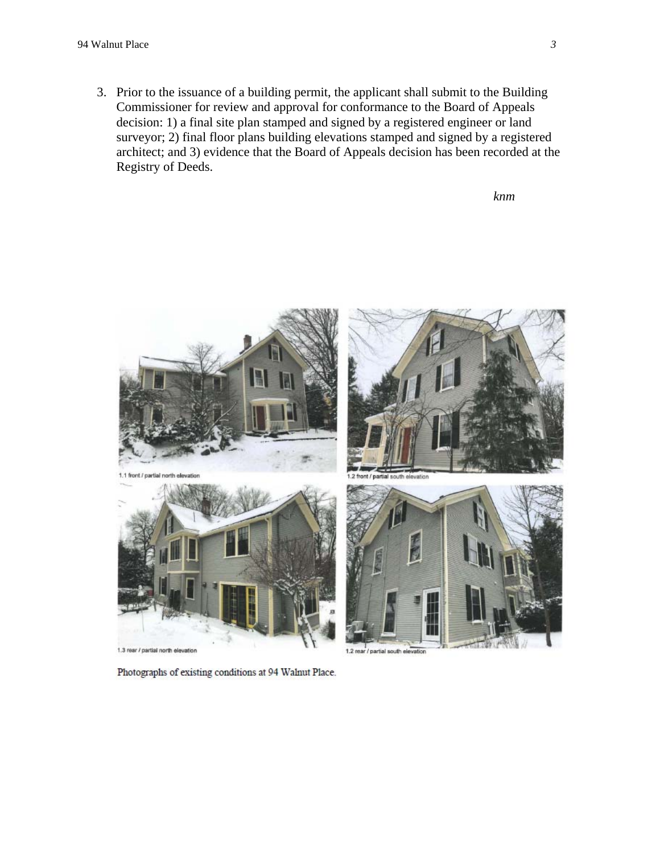3. Prior to the issuance of a building permit, the applicant shall submit to the Building Commissioner for review and approval for conformance to the Board of Appeals decision: 1) a final site plan stamped and signed by a registered engineer or land surveyor; 2) final floor plans building elevations stamped and signed by a registered architect; and 3) evidence that the Board of Appeals decision has been recorded at the Registry of Deeds.

*knm*



Photographs of existing conditions at 94 Walnut Place.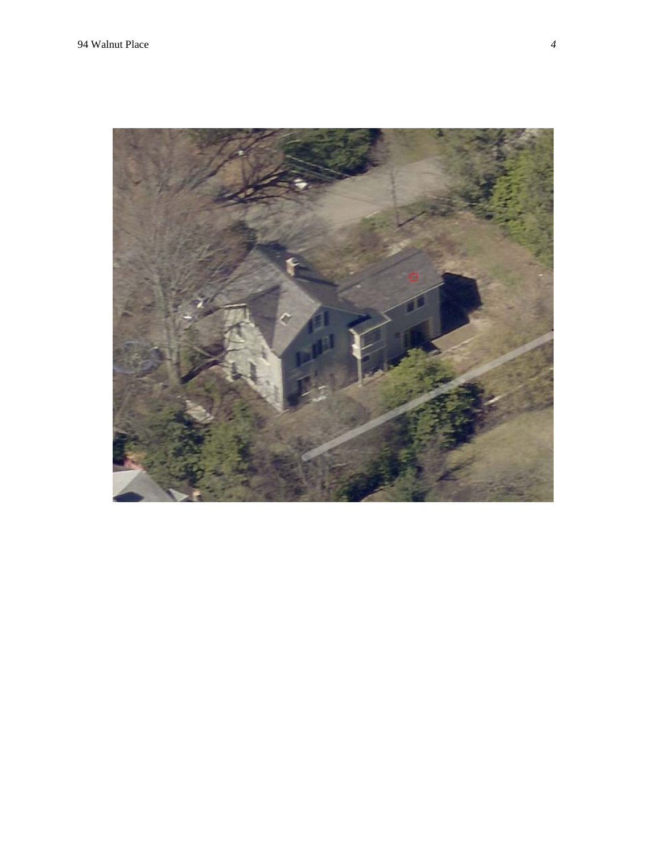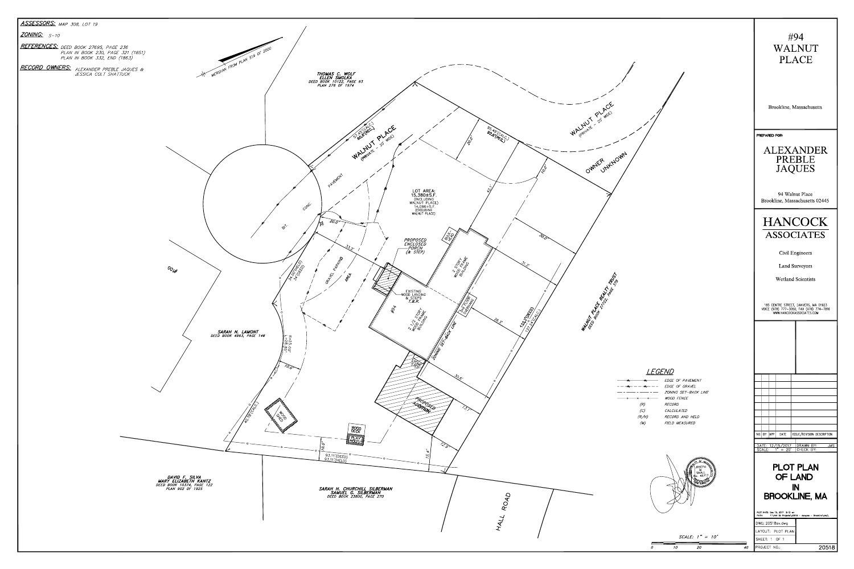

|                                                                                                                                                                                               | #94<br>WALNUT<br><b>PLACE</b>                                                                                                                                                            |
|-----------------------------------------------------------------------------------------------------------------------------------------------------------------------------------------------|------------------------------------------------------------------------------------------------------------------------------------------------------------------------------------------|
| 20-WOEI                                                                                                                                                                                       | Brookline, Massachusetts                                                                                                                                                                 |
| FR WINDOWN                                                                                                                                                                                    | <b>PREPARED FOR:</b><br><b>ALEXANDER</b><br>PREBLE<br><b>JAQUES</b>                                                                                                                      |
|                                                                                                                                                                                               | 94 Walnut Place<br>Brookline, Massachusetts 02445                                                                                                                                        |
|                                                                                                                                                                                               | <b>HANCOCK</b><br><b>ASSOCIATES</b>                                                                                                                                                      |
|                                                                                                                                                                                               | <b>Civil Engineers</b><br><b>Land Surveyors</b>                                                                                                                                          |
| REATH REAGAN<br><b>PO+</b>                                                                                                                                                                    | <b>Wetland Scientists</b><br>185 CENTRE STREET, DANVERS, MA 01923<br>VOICE (978) 777-3050, FAX (978) 774-7816<br>WWW.HANCOCKASSOCIATES.COM                                               |
|                                                                                                                                                                                               |                                                                                                                                                                                          |
| LEGEND<br>EDGE OF PAVEMENT<br>EDGE OF GRAVEL<br>ZONING SET-BACK LINE<br><b>WOOD FENCE</b><br>- 0 -<br>(R)<br>RECORD<br>(C)<br>CALCULATED<br>(R/H)<br>RECORD AND HELD<br>(M)<br>FIELD MEASURED | $NO.$ BY $APP$<br>DATE                                                                                                                                                                   |
| <b>JOSEPH</b><br>м.<br>SMALL<br>45717                                                                                                                                                         | ISSUE/REVISION DESCRIPTION<br>DATE: 12/15/2017<br>DRAWN BY:<br>JMS<br>$1" = 20'$<br>SCALE:<br>CHECK BY:<br><b>PLOT PLAN</b><br>OF LAND<br>IN<br><b>BROOKLINE, MA</b>                     |
| SCALE: $1" = 10'$<br>10 <sub>2</sub><br>20<br>$\mathcal{O}$<br>40                                                                                                                             | PLOT DATE: Dec 15, 2017 9:13 am<br>PATH:<br>F: \Civil 3D Projects \20518 - Jacques - Brookline \dwg \<br>DWG: 20518sv.dwg<br>LAYOUT: PLOT PLAN<br>SHEET: 1 OF 1<br>20518<br>PROJECT NO.: |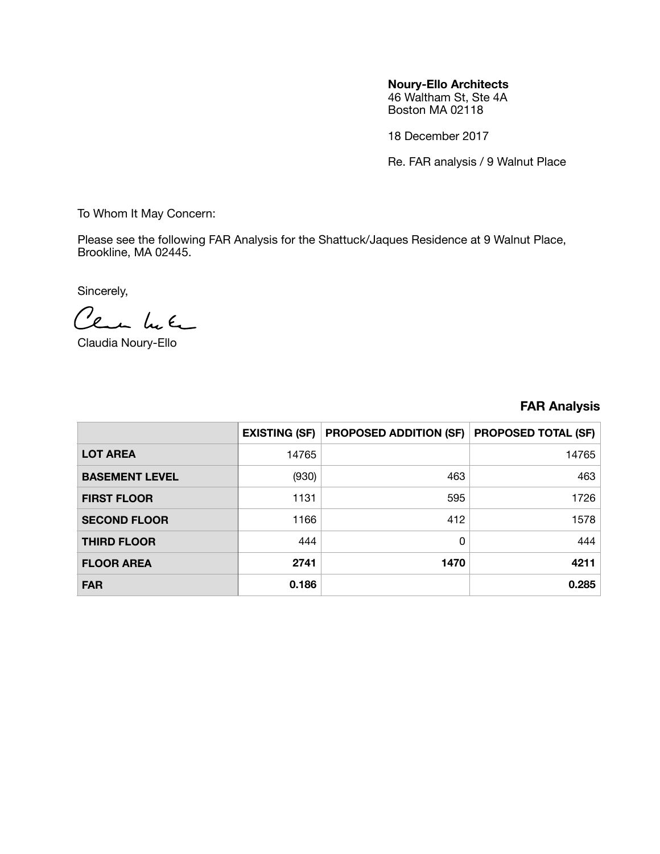#### **Noury-Ello Architects**

46 Waltham St, Ste 4A Boston MA 02118

18 December 2017

Re. FAR analysis / 9 Walnut Place

To Whom It May Concern:

Please see the following FAR Analysis for the Shattuck/Jaques Residence at 9 Walnut Place, Brookline, MA 02445.

Sincerely,

Cemente

Claudia Noury-Ello

#### **FAR Analysis**

|                       | <b>EXISTING (SF)</b> | <b>PROPOSED ADDITION (SF)</b> | <b>PROPOSED TOTAL (SF)</b> |
|-----------------------|----------------------|-------------------------------|----------------------------|
| <b>LOT AREA</b>       | 14765                |                               | 14765                      |
| <b>BASEMENT LEVEL</b> | (930)                | 463                           | 463                        |
| <b>FIRST FLOOR</b>    | 1131                 | 595                           | 1726                       |
| <b>SECOND FLOOR</b>   | 1166                 | 412                           | 1578                       |
| <b>THIRD FLOOR</b>    | 444                  | 0                             | 444                        |
| <b>FLOOR AREA</b>     | 2741                 | 1470                          | 4211                       |
| <b>FAR</b>            | 0.186                |                               | 0.285                      |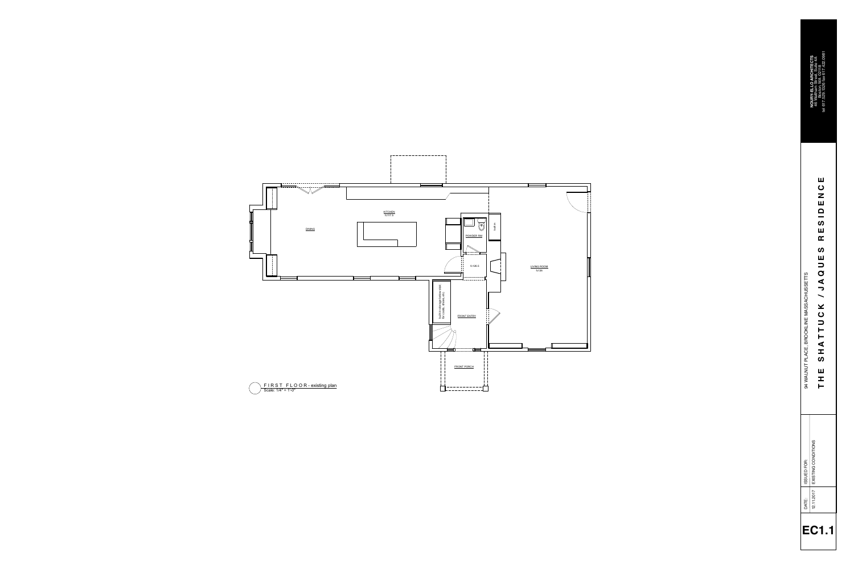|                                                        | tel 617.529.1326 fax 617.422.0981<br><b>NOURY-ELLO ARCHITECTS</b><br>46 Waltham Street, Suite 4A<br>Boston, MA 02118  |
|--------------------------------------------------------|-----------------------------------------------------------------------------------------------------------------------|
| PTS<br>MASSACHUSSET<br>OKLINE<br>≃<br>94 WALNUT PLACE, | 山<br>〇<br>RESI<br>$\boldsymbol{\omega}$<br>$\mathbf{u}$<br><b>U<br/>Q<br/>Q</b><br>ICK<br>エ<br>の<br>$\mathbf{u}$<br>I |
| SSUED FOR:                                             | EXISTING CONDITIONS                                                                                                   |
| DATE:                                                  | 12.11.201                                                                                                             |
|                                                        | $\boldsymbol{\mathsf{C}}$                                                                                             |



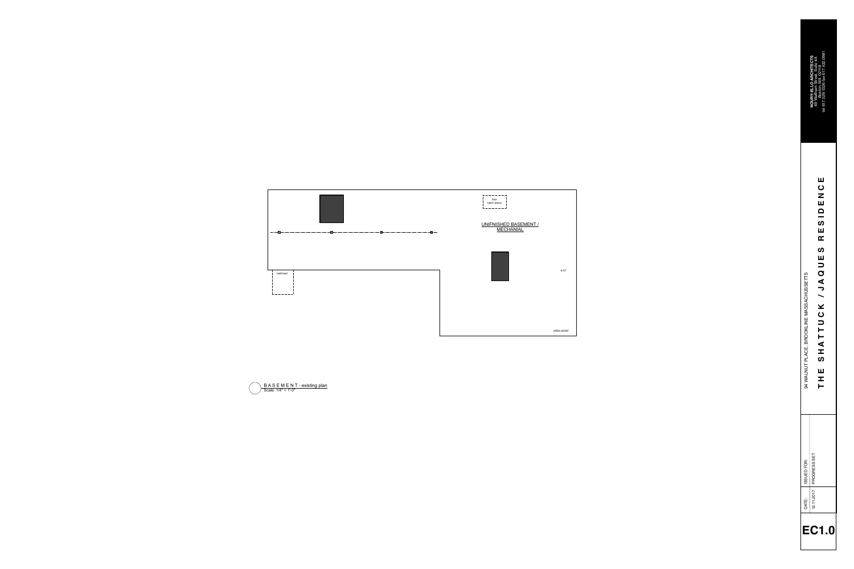bulkhead 

B A S E M E N T - existing plan<br>Scale:  $1/4" = 1'-0"$ 



|                                              | tel 617.529.1326 fax 617.422.0981<br><b>NOURY-ELLO ARCHITECTS</b><br>46 Waltham Street, Suite 4A<br>Boston, MA 02118                                                         |
|----------------------------------------------|------------------------------------------------------------------------------------------------------------------------------------------------------------------------------|
| BROOKLINE MASSACHUSSETTS<br>94 WALNUT PLACE, | Ш<br>〇<br>$\overline{\phantom{a}}$<br>$\Box$<br>ーの山<br>Œ<br>$\boldsymbol{\omega}$<br>Щ<br><b>U<br/>Q<br/>Q</b><br>$\overline{\phantom{a}}$<br>TUCK<br>٠<br>エ<br>の<br>Щ<br>エー |
| SSUED FOR:<br>DATE:                          | PROGRESS SET<br>↖<br>12.11.201                                                                                                                                               |
|                                              | <b>C1</b>                                                                                                                                                                    |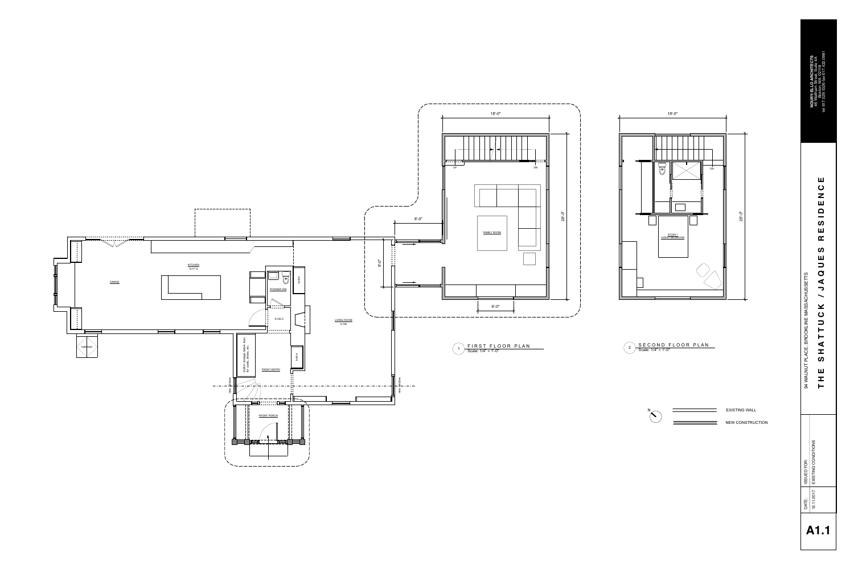DATE: ISSUED FOR:

12.11.2017 EXISTING CONDITIONS ISSUED FOR SUSTING DATE:<br>12.11.2

A1.1



NEW CONSTRUCTION

**181** 



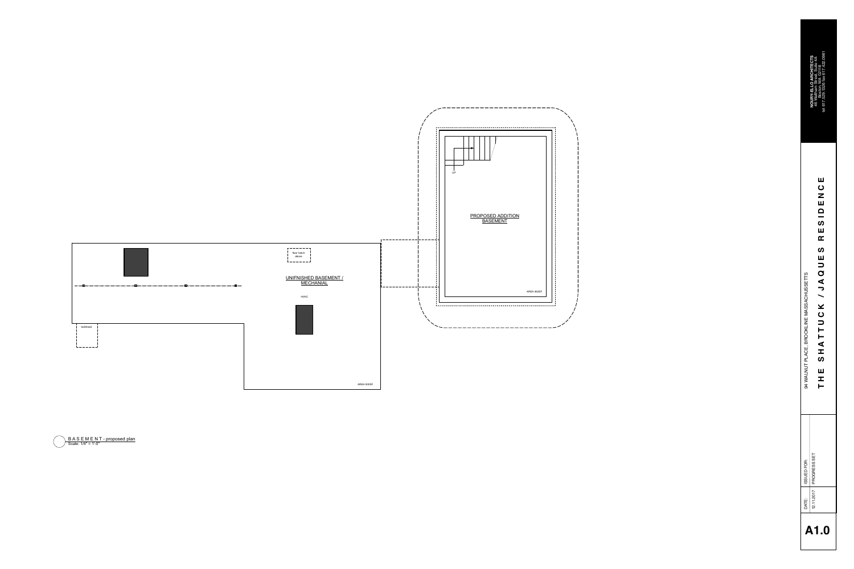|   | DATE:         | SSUED FOR:   | OOKLINE MASSACHUSSETTS<br>94 WALNUT PLACE.                                                              | <b>NOURY-ELLO ARCHITECTS</b>                                                         |
|---|---------------|--------------|---------------------------------------------------------------------------------------------------------|--------------------------------------------------------------------------------------|
| 1 | r<br>12.11.20 | PROGRESS SET | 山<br>〇<br>乙<br>—<br>ဟ<br>비<br>C<br>$\mathbf{u}$<br><b>U<br/>Q<br/>Q</b><br> <br>C K<br>エ<br>の<br>Щ<br>I | Boston, MA 02118<br>tel 617.529.1326 fax 617.422.0981<br>46 Waltham Street, Suite 4A |

|          |   |    |               | floor<br>ab  |
|----------|---|----|---------------|--------------|
|          |   |    |               | <b>UNIFM</b> |
| ⋉        | ⊠ | -図 | $\boxtimes$ — |              |
|          |   |    |               |              |
| bulkhead |   |    |               |              |
|          |   |    |               |              |
|          |   |    |               |              |